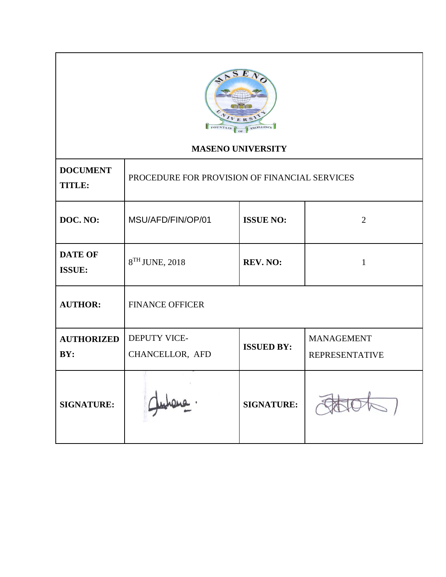

# **MASENO UNIVERSITY**

| <b>DOCUMENT</b><br><b>TITLE:</b> | PROCEDURE FOR PROVISION OF FINANCIAL SERVICES |                   |                       |  |
|----------------------------------|-----------------------------------------------|-------------------|-----------------------|--|
| DOC. NO:                         | MSU/AFD/FIN/OP/01                             | <b>ISSUE NO:</b>  | $\overline{2}$        |  |
| <b>DATE OF</b><br><b>ISSUE:</b>  | 8TH JUNE, 2018                                | REV. NO:          | 1                     |  |
| <b>AUTHOR:</b>                   | <b>FINANCE OFFICER</b>                        |                   |                       |  |
| <b>AUTHORIZED</b>                | <b>DEPUTY VICE-</b>                           | <b>ISSUED BY:</b> | <b>MANAGEMENT</b>     |  |
| BY:                              | CHANCELLOR, AFD                               |                   | <b>REPRESENTATIVE</b> |  |
| <b>SIGNATURE:</b>                |                                               | <b>SIGNATURE:</b> |                       |  |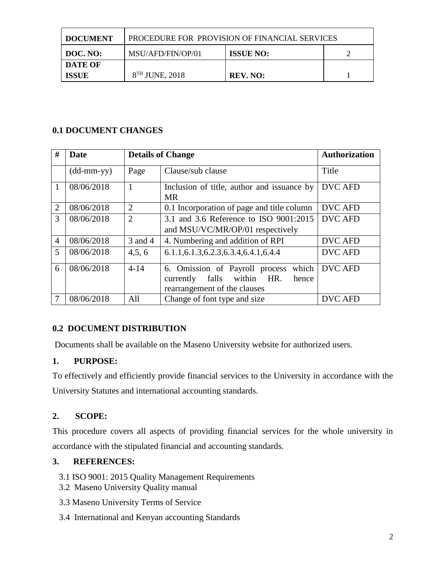| <b>DOCUMENT</b>         | PROCEDURE FOR PROVISION OF FINANCIAL SERVICES |                  |  |  |
|-------------------------|-----------------------------------------------|------------------|--|--|
| DOC. NO:                | MSU/AFD/FIN/OP/01                             | <b>ISSUE NO:</b> |  |  |
| DATE OF<br><b>ISSUE</b> | $8TH$ JUNE, 2018                              | REV. NO:         |  |  |

# **0.1 DOCUMENT CHANGES**

| #              | Date                       |                | <b>Details of Change</b>                                                                                                | <b>Authorization</b> |
|----------------|----------------------------|----------------|-------------------------------------------------------------------------------------------------------------------------|----------------------|
|                | $(dd\text{-}mm\text{-}yy)$ | Page           | Clause/sub clause                                                                                                       | Title                |
| $\mathbf{1}$   | 08/06/2018                 | 1              | Inclusion of title, author and issuance by<br><b>MR</b>                                                                 | <b>DVC AFD</b>       |
| 2              | 08/06/2018                 | $\overline{2}$ | 0.1 Incorporation of page and title column                                                                              | <b>DVC AFD</b>       |
| 3              | 08/06/2018                 | $\overline{2}$ | 3.1 and 3.6 Reference to ISO 9001:2015                                                                                  | <b>DVC AFD</b>       |
|                |                            |                | and MSU/VC/MR/OP/01 respectively                                                                                        |                      |
| $\overline{4}$ | 08/06/2018                 | 3 and 4        | 4. Numbering and addition of RPI                                                                                        | <b>DVC AFD</b>       |
| 5              | 08/06/2018                 | 4,5,6          | 6.1.1, 6.1.3, 6.2.3, 6.3.4, 6.4.1, 6.4.4                                                                                | <b>DVC AFD</b>       |
| 6              | 08/06/2018                 | $4 - 14$       | which<br>6. Omission of Payroll process<br>within<br>HR.<br>falls<br>hence<br>currently<br>rearrangement of the clauses | <b>DVC AFD</b>       |
| 7              | 08/06/2018                 | All            | Change of font type and size                                                                                            | <b>DVC AFD</b>       |

# **0.2 DOCUMENT DISTRIBUTION**

Documents shall be available on the Maseno University website for authorized users.

# **1. PURPOSE:**

To effectively and efficiently provide financial services to the University in accordance with the University Statutes and international accounting standards.

# **2. SCOPE:**

This procedure covers all aspects of providing financial services for the whole university in accordance with the stipulated financial and accounting standards.

# **3. REFERENCES:**

- 3.1 ISO 9001: 2015 Quality Management Requirements
- 3.2 Maseno University Quality manual
- 3.3 Maseno University Terms of Service
- 3.4 International and Kenyan accounting Standards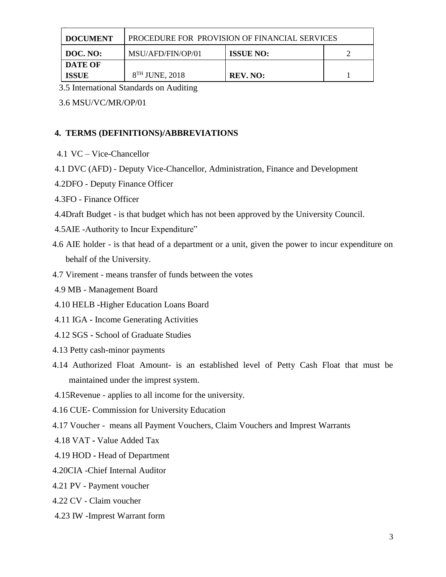| <b>DOCUMENT</b> | PROCEDURE FOR PROVISION OF FINANCIAL SERVICES |          |  |  |
|-----------------|-----------------------------------------------|----------|--|--|
| DOC. NO:        | MSU/AFD/FIN/OP/01<br><b>ISSUE NO:</b>         |          |  |  |
| DATE OF         |                                               |          |  |  |
| <b>ISSUE</b>    | 8 <sup>TH</sup> JUNE, 2018                    | REV. NO: |  |  |

3.5 International Standards on Auditing

3.6 MSU/VC/MR/OP/01

### **4. TERMS (DEFINITIONS)/ABBREVIATIONS**

- 4.1 VC Vice-Chancellor
- 4.1 DVC (AFD) Deputy Vice-Chancellor, Administration, Finance and Development
- 4.2DFO Deputy Finance Officer
- 4.3FO Finance Officer
- 4.4Draft Budget is that budget which has not been approved by the University Council.
- 4.5AIE -Authority to Incur Expenditure"
- 4.6 AIE holder is that head of a department or a unit, given the power to incur expenditure on behalf of the University.
- 4.7 Virement means transfer of funds between the votes
- 4.9 MB Management Board
- 4.10 HELB **-**Higher Education Loans Board
- 4.11 IGA **-** Income Generating Activities
- 4.12 SGS **-** School of Graduate Studies
- 4.13 Petty cash-minor payments
- 4.14 Authorized Float Amount- is an established level of Petty Cash Float that must be maintained under the imprest system.
- 4.15Revenue applies to all income for the university.
- 4.16 CUE- Commission for University Education
- 4.17 Voucher means all Payment Vouchers, Claim Vouchers and Imprest Warrants
- 4.18 VAT **-** Value Added Tax
- 4.19 HOD **-** Head of Department
- 4.20CIA -Chief Internal Auditor
- 4.21 PV Payment voucher
- 4.22 CV Claim voucher
- 4.23 IW -Imprest Warrant form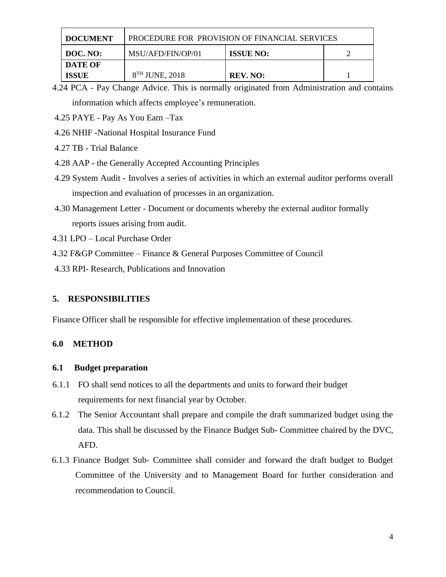| <b>DOCUMENT</b> | <b>PROCEDURE FOR PROVISION OF FINANCIAL SERVICES</b> |                  |  |  |
|-----------------|------------------------------------------------------|------------------|--|--|
| DOC. NO:        | MSU/AFD/FIN/OP/01                                    | <b>ISSUE NO:</b> |  |  |
| DATE OF         |                                                      |                  |  |  |
| <b>ISSUE</b>    | $8TH$ JUNE, 2018                                     | REV. NO:         |  |  |

- 4.24 PCA Pay Change Advice. This is normally originated from Administration and contains information which affects employee's remuneration.
- 4.25 PAYE Pay As You Earn –Tax
- 4.26 NHIF **-**National Hospital Insurance Fund
- 4.27 TB Trial Balance
- 4.28 AAP the Generally Accepted Accounting Principles
- 4.29 System Audit Involves a series of activities in which an external auditor performs overall inspection and evaluation of processes in an organization.
- 4.30 Management Letter Document or documents whereby the external auditor formally reports issues arising from audit.
- 4.31 LPO Local Purchase Order
- 4.32 F&GP Committee Finance & General Purposes Committee of Council
- 4.33 RPI- Research, Publications and Innovation

### **5. RESPONSIBILITIES**

Finance Officer shall be responsible for effective implementation of these procedures.

### **6.0 METHOD**

### **6.1 Budget preparation**

- 6.1.1 FO shall send notices to all the departments and units to forward their budget requirements for next financial year by October.
- 6.1.2 The Senior Accountant shall prepare and compile the draft summarized budget using the data. This shall be discussed by the Finance Budget Sub- Committee chaired by the DVC, AFD.
- 6.1.3 Finance Budget Sub- Committee shall consider and forward the draft budget to Budget Committee of the University and to Management Board for further consideration and recommendation to Council.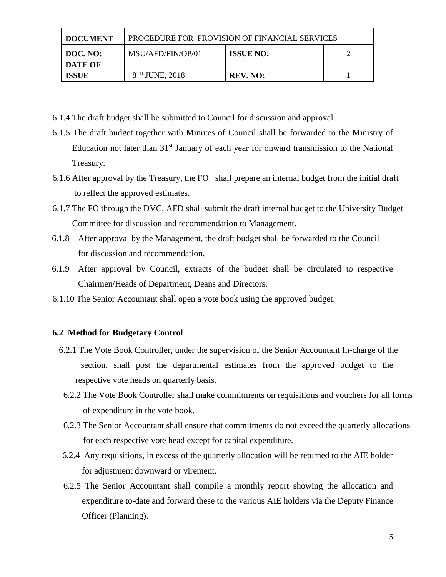| <b>DOCUMENT</b> | PROCEDURE FOR PROVISION OF FINANCIAL SERVICES |                  |  |  |
|-----------------|-----------------------------------------------|------------------|--|--|
| DOC. NO:        | MSU/AFD/FIN/OP/01                             | <b>ISSUE NO:</b> |  |  |
| <b>DATE OF</b>  |                                               |                  |  |  |
| <b>ISSUE</b>    | 8 <sup>TH</sup> JUNE, 2018                    | REV. NO:         |  |  |

- 6.1.4 The draft budget shall be submitted to Council for discussion and approval.
- 6.1.5 The draft budget together with Minutes of Council shall be forwarded to the Ministry of Education not later than 31<sup>st</sup> January of each year for onward transmission to the National Treasury.
- 6.1.6 After approval by the Treasury, the FO shall prepare an internal budget from the initial draft to reflect the approved estimates.
- 6.1.7 The FO through the DVC, AFD shall submit the draft internal budget to the University Budget Committee for discussion and recommendation to Management.
- 6.1.8 After approval by the Management, the draft budget shall be forwarded to the Council for discussion and recommendation.
- 6.1.9 After approval by Council, extracts of the budget shall be circulated to respective Chairmen/Heads of Department, Deans and Directors.
- 6.1.10 The Senior Accountant shall open a vote book using the approved budget.

### **6.2 Method for Budgetary Control**

- 6.2.1 The Vote Book Controller, under the supervision of the Senior Accountant In-charge of the section, shall post the departmental estimates from the approved budget to the respective vote heads on quarterly basis.
- 6.2.2 The Vote Book Controller shall make commitments on requisitions and vouchers for all forms of expenditure in the vote book.
- 6.2.3 The Senior Accountant shall ensure that commitments do not exceed the quarterly allocations for each respective vote head except for capital expenditure.
- 6.2.4 Any requisitions, in excess of the quarterly allocation will be returned to the AIE holder for adjustment downward or virement.
- 6.2.5 The Senior Accountant shall compile a monthly report showing the allocation and expenditure to-date and forward these to the various AIE holders via the Deputy Finance Officer (Planning).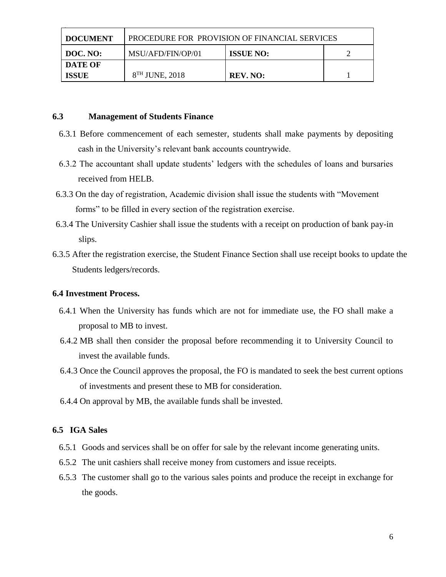| <b>I DOCUMENT</b> | <b>PROCEDURE FOR PROVISION OF FINANCIAL SERVICES</b> |                  |  |  |
|-------------------|------------------------------------------------------|------------------|--|--|
| DOC. NO:          | MSU/AFD/FIN/OP/01                                    | <b>ISSUE NO:</b> |  |  |
| DATE OF           |                                                      |                  |  |  |
| <b>ISSUE</b>      | 8 <sup>TH</sup> JUNE, 2018                           | REV. NO:         |  |  |

### **6.3 Management of Students Finance**

- 6.3.1 Before commencement of each semester, students shall make payments by depositing cash in the University's relevant bank accounts countrywide.
- 6.3.2 The accountant shall update students' ledgers with the schedules of loans and bursaries received from HELB.
- 6.3.3 On the day of registration, Academic division shall issue the students with "Movement forms" to be filled in every section of the registration exercise.
- 6.3.4 The University Cashier shall issue the students with a receipt on production of bank pay-in slips.
- 6.3.5 After the registration exercise, the Student Finance Section shall use receipt books to update the Students ledgers/records.

### **6.4 Investment Process.**

- 6.4.1 When the University has funds which are not for immediate use, the FO shall make a proposal to MB to invest.
- 6.4.2 MB shall then consider the proposal before recommending it to University Council to invest the available funds.
- 6.4.3 Once the Council approves the proposal, the FO is mandated to seek the best current options of investments and present these to MB for consideration.
- 6.4.4 On approval by MB, the available funds shall be invested.

### **6.5 IGA Sales**

- 6.5.1 Goods and services shall be on offer for sale by the relevant income generating units.
- 6.5.2 The unit cashiers shall receive money from customers and issue receipts.
- 6.5.3 The customer shall go to the various sales points and produce the receipt in exchange for the goods.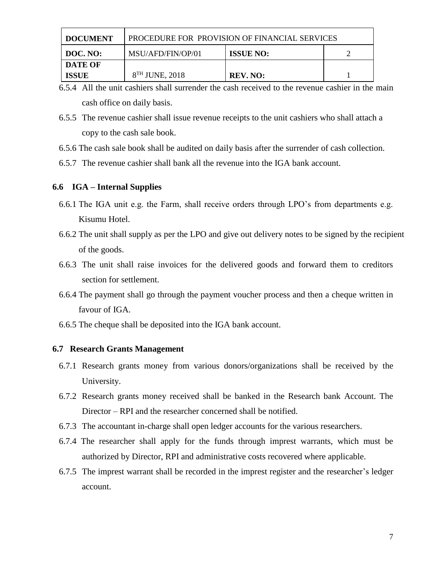| <b>DOCUMENT</b> | PROCEDURE FOR PROVISION OF FINANCIAL SERVICES |                  |  |  |
|-----------------|-----------------------------------------------|------------------|--|--|
| $\mid$ DOC. NO: | MSU/AFD/FIN/OP/01                             | <b>ISSUE NO:</b> |  |  |
| <b>DATE OF</b>  |                                               |                  |  |  |
| <b>ISSUE</b>    | 8 <sup>TH</sup> JUNE, 2018                    | REV. NO:         |  |  |

- 6.5.4 All the unit cashiers shall surrender the cash received to the revenue cashier in the main cash office on daily basis.
- 6.5.5 The revenue cashier shall issue revenue receipts to the unit cashiers who shall attach a copy to the cash sale book.
- 6.5.6 The cash sale book shall be audited on daily basis after the surrender of cash collection.
- 6.5.7 The revenue cashier shall bank all the revenue into the IGA bank account.

### **6.6 IGA – Internal Supplies**

- 6.6.1 The IGA unit e.g. the Farm, shall receive orders through LPO's from departments e.g. Kisumu Hotel.
- 6.6.2 The unit shall supply as per the LPO and give out delivery notes to be signed by the recipient of the goods.
- 6.6.3 The unit shall raise invoices for the delivered goods and forward them to creditors section for settlement.
- 6.6.4 The payment shall go through the payment voucher process and then a cheque written in favour of IGA.
- 6.6.5 The cheque shall be deposited into the IGA bank account.

### **6.7 Research Grants Management**

- 6.7.1 Research grants money from various donors/organizations shall be received by the University.
- 6.7.2 Research grants money received shall be banked in the Research bank Account. The Director – RPI and the researcher concerned shall be notified.
- 6.7.3 The accountant in-charge shall open ledger accounts for the various researchers.
- 6.7.4 The researcher shall apply for the funds through imprest warrants, which must be authorized by Director, RPI and administrative costs recovered where applicable.
- 6.7.5 The imprest warrant shall be recorded in the imprest register and the researcher's ledger account.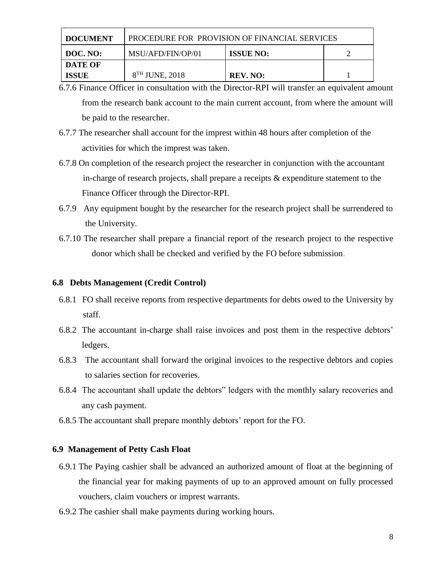| <b>DOCUMENT</b> | <b>PROCEDURE FOR PROVISION OF FINANCIAL SERVICES</b> |                  |  |  |
|-----------------|------------------------------------------------------|------------------|--|--|
| DOC. NO:        | MSU/AFD/FIN/OP/01                                    | <b>ISSUE NO:</b> |  |  |
| DATE OF         |                                                      |                  |  |  |
| <b>ISSUE</b>    | $8TH$ JUNE, 2018                                     | REV. NO:         |  |  |

- 6.7.6 Finance Officer in consultation with the Director-RPI will transfer an equivalent amount from the research bank account to the main current account, from where the amount will be paid to the researcher.
- 6.7.7 The researcher shall account for the imprest within 48 hours after completion of the activities for which the imprest was taken.
- 6.7.8 On completion of the research project the researcher in conjunction with the accountant in-charge of research projects, shall prepare a receipts & expenditure statement to the Finance Officer through the Director-RPI.
- 6.7.9 Any equipment bought by the researcher for the research project shall be surrendered to the University.
- 6.7.10 The researcher shall prepare a financial report of the research project to the respective donor which shall be checked and verified by the FO before submission.

### **6.8 Debts Management (Credit Control)**

- 6.8.1 FO shall receive reports from respective departments for debts owed to the University by staff.
- 6.8.2 The accountant in-charge shall raise invoices and post them in the respective debtors' ledgers.
- 6.8.3 The accountant shall forward the original invoices to the respective debtors and copies to salaries section for recoveries.
- 6.8.4 The accountant shall update the debtors" ledgers with the monthly salary recoveries and any cash payment.
- 6.8.5 The accountant shall prepare monthly debtors' report for the FO.

### **6.9 Management of Petty Cash Float**

- 6.9.1 The Paying cashier shall be advanced an authorized amount of float at the beginning of the financial year for making payments of up to an approved amount on fully processed vouchers, claim vouchers or imprest warrants.
- 6.9.2 The cashier shall make payments during working hours.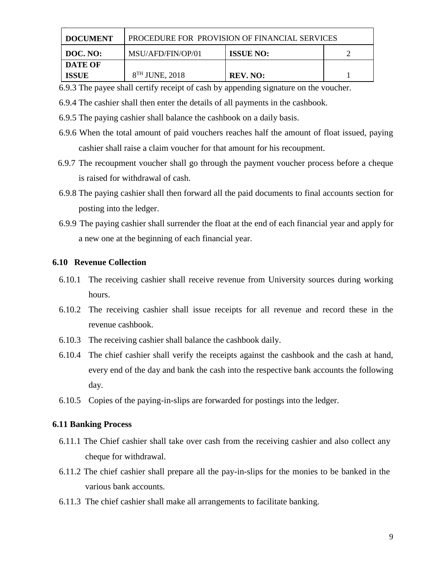| <b>I DOCUMENT</b> | <b>PROCEDURE FOR PROVISION OF FINANCIAL SERVICES</b> |                  |  |  |
|-------------------|------------------------------------------------------|------------------|--|--|
| $\mid$ DOC. NO:   | MSU/AFD/FIN/OP/01                                    | <b>ISSUE NO:</b> |  |  |
| <b>DATE OF</b>    |                                                      |                  |  |  |
| <b>ISSUE</b>      | $8TH$ JUNE, 2018                                     | REV. NO:         |  |  |

6.9.3 The payee shall certify receipt of cash by appending signature on the voucher.

6.9.4 The cashier shall then enter the details of all payments in the cashbook.

- 6.9.5 The paying cashier shall balance the cashbook on a daily basis.
- 6.9.6 When the total amount of paid vouchers reaches half the amount of float issued, paying cashier shall raise a claim voucher for that amount for his recoupment.
- 6.9.7 The recoupment voucher shall go through the payment voucher process before a cheque is raised for withdrawal of cash.
- 6.9.8 The paying cashier shall then forward all the paid documents to final accounts section for posting into the ledger.
- 6.9.9 The paying cashier shall surrender the float at the end of each financial year and apply for a new one at the beginning of each financial year.

### **6.10 Revenue Collection**

- 6.10.1 The receiving cashier shall receive revenue from University sources during working hours.
- 6.10.2 The receiving cashier shall issue receipts for all revenue and record these in the revenue cashbook.
- 6.10.3 The receiving cashier shall balance the cashbook daily.
- 6.10.4 The chief cashier shall verify the receipts against the cashbook and the cash at hand, every end of the day and bank the cash into the respective bank accounts the following day.
- 6.10.5 Copies of the paying-in-slips are forwarded for postings into the ledger.

#### **6.11 Banking Process**

- 6.11.1 The Chief cashier shall take over cash from the receiving cashier and also collect any cheque for withdrawal.
- 6.11.2 The chief cashier shall prepare all the pay-in-slips for the monies to be banked in the various bank accounts.
- 6.11.3 The chief cashier shall make all arrangements to facilitate banking.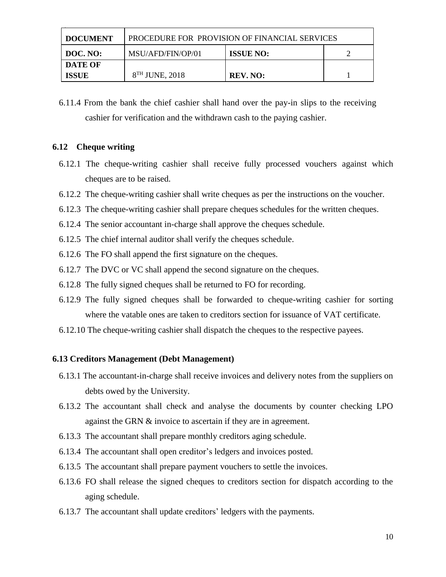| <b>DOCUMENT</b> | PROCEDURE FOR PROVISION OF FINANCIAL SERVICES |                  |  |  |
|-----------------|-----------------------------------------------|------------------|--|--|
| DOC. NO:        | MSU/AFD/FIN/OP/01                             | <b>ISSUE NO:</b> |  |  |
| DATE OF         |                                               |                  |  |  |
| <b>ISSUE</b>    | $8TH$ JUNE, 2018                              | REV. NO:         |  |  |

6.11.4 From the bank the chief cashier shall hand over the pay-in slips to the receiving cashier for verification and the withdrawn cash to the paying cashier.

### **6.12 Cheque writing**

- 6.12.1 The cheque-writing cashier shall receive fully processed vouchers against which cheques are to be raised.
- 6.12.2 The cheque-writing cashier shall write cheques as per the instructions on the voucher.
- 6.12.3 The cheque-writing cashier shall prepare cheques schedules for the written cheques.
- 6.12.4 The senior accountant in-charge shall approve the cheques schedule.
- 6.12.5 The chief internal auditor shall verify the cheques schedule.
- 6.12.6 The FO shall append the first signature on the cheques.
- 6.12.7 The DVC or VC shall append the second signature on the cheques.
- 6.12.8 The fully signed cheques shall be returned to FO for recording.
- 6.12.9 The fully signed cheques shall be forwarded to cheque-writing cashier for sorting where the vatable ones are taken to creditors section for issuance of VAT certificate.
- 6.12.10 The cheque-writing cashier shall dispatch the cheques to the respective payees.

#### **6.13 Creditors Management (Debt Management)**

- 6.13.1 The accountant-in-charge shall receive invoices and delivery notes from the suppliers on debts owed by the University.
- 6.13.2 The accountant shall check and analyse the documents by counter checking LPO against the GRN & invoice to ascertain if they are in agreement.
- 6.13.3 The accountant shall prepare monthly creditors aging schedule.
- 6.13.4 The accountant shall open creditor's ledgers and invoices posted.
- 6.13.5 The accountant shall prepare payment vouchers to settle the invoices.
- 6.13.6 FO shall release the signed cheques to creditors section for dispatch according to the aging schedule.
- 6.13.7 The accountant shall update creditors' ledgers with the payments.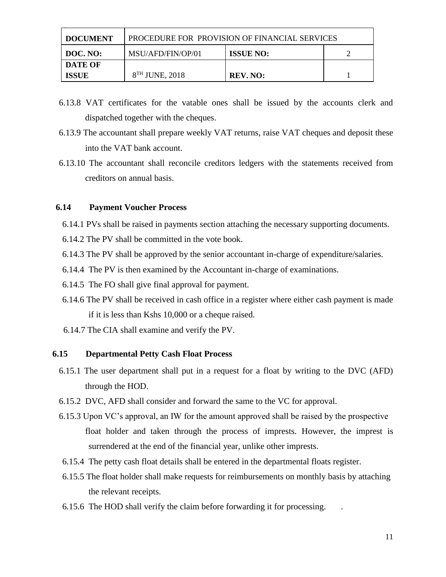| <b>DOCUMENT</b> | PROCEDURE FOR PROVISION OF FINANCIAL SERVICES |                  |  |  |
|-----------------|-----------------------------------------------|------------------|--|--|
| DOC. NO:        | MSU/AFD/FIN/OP/01                             | <b>ISSUE NO:</b> |  |  |
| DATE OF         |                                               |                  |  |  |
| <b>ISSUE</b>    | 8 <sup>TH</sup> JUNE, 2018                    | REV. NO:         |  |  |

- 6.13.8 VAT certificates for the vatable ones shall be issued by the accounts clerk and dispatched together with the cheques.
- 6.13.9 The accountant shall prepare weekly VAT returns, raise VAT cheques and deposit these into the VAT bank account.
- 6.13.10 The accountant shall reconcile creditors ledgers with the statements received from creditors on annual basis.

### **6.14 Payment Voucher Process**

- 6.14.1 PVs shall be raised in payments section attaching the necessary supporting documents.
- 6.14.2 The PV shall be committed in the vote book.
- 6.14.3 The PV shall be approved by the senior accountant in-charge of expenditure/salaries.
- 6.14.4 The PV is then examined by the Accountant in-charge of examinations.
- 6.14.5 The FO shall give final approval for payment.
- 6.14.6 The PV shall be received in cash office in a register where either cash payment is made if it is less than Kshs 10,000 or a cheque raised.
- 6.14.7 The CIA shall examine and verify the PV.

### **6.15 Departmental Petty Cash Float Process**

- 6.15.1 The user department shall put in a request for a float by writing to the DVC (AFD) through the HOD.
- 6.15.2 DVC, AFD shall consider and forward the same to the VC for approval.
- 6.15.3 Upon VC's approval, an IW for the amount approved shall be raised by the prospective float holder and taken through the process of imprests. However, the imprest is surrendered at the end of the financial year, unlike other imprests.
- 6.15.4 The petty cash float details shall be entered in the departmental floats register.
- 6.15.5 The float holder shall make requests for reimbursements on monthly basis by attaching the relevant receipts.
- 6.15.6 The HOD shall verify the claim before forwarding it for processing. .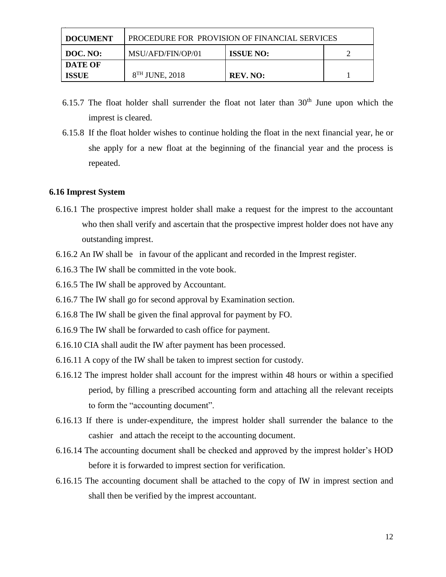| <b>DOCUMENT</b> | <b>PROCEDURE FOR PROVISION OF FINANCIAL SERVICES</b> |                  |  |
|-----------------|------------------------------------------------------|------------------|--|
| <b>DOC. NO:</b> | MSU/AFD/FIN/OP/01                                    | <b>ISSUE NO:</b> |  |
| <b>DATE OF</b>  |                                                      |                  |  |
| <b>ISSUE</b>    | 8 <sup>TH</sup> JUNE, 2018                           | REV. NO:         |  |

- 6.15.7 The float holder shall surrender the float not later than  $30<sup>th</sup>$  June upon which the imprest is cleared.
- 6.15.8 If the float holder wishes to continue holding the float in the next financial year, he or she apply for a new float at the beginning of the financial year and the process is repeated.

### **6.16 Imprest System**

- 6.16.1 The prospective imprest holder shall make a request for the imprest to the accountant who then shall verify and ascertain that the prospective imprest holder does not have any outstanding imprest.
- 6.16.2 An IW shall be in favour of the applicant and recorded in the Imprest register.
- 6.16.3 The IW shall be committed in the vote book.
- 6.16.5 The IW shall be approved by Accountant.
- 6.16.7 The IW shall go for second approval by Examination section.
- 6.16.8 The IW shall be given the final approval for payment by FO.
- 6.16.9 The IW shall be forwarded to cash office for payment.
- 6.16.10 CIA shall audit the IW after payment has been processed.
- 6.16.11 A copy of the IW shall be taken to imprest section for custody.
- 6.16.12 The imprest holder shall account for the imprest within 48 hours or within a specified period, by filling a prescribed accounting form and attaching all the relevant receipts to form the "accounting document".
- 6.16.13 If there is under-expenditure, the imprest holder shall surrender the balance to the cashier and attach the receipt to the accounting document.
- 6.16.14 The accounting document shall be checked and approved by the imprest holder's HOD before it is forwarded to imprest section for verification.
- 6.16.15 The accounting document shall be attached to the copy of IW in imprest section and shall then be verified by the imprest accountant.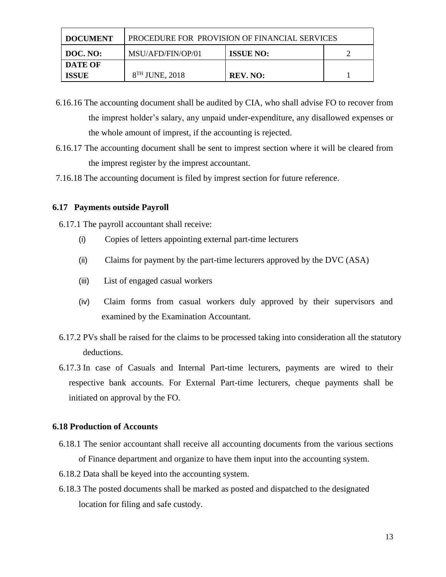| <b>DOCUMENT</b> | PROCEDURE FOR PROVISION OF FINANCIAL SERVICES |                  |  |
|-----------------|-----------------------------------------------|------------------|--|
| DOC. NO:        | MSU/AFD/FIN/OP/01                             | <b>ISSUE NO:</b> |  |
| DATE OF         |                                               |                  |  |
| <b>ISSUE</b>    | 8 <sup>TH</sup> JUNE, 2018                    | REV. NO:         |  |

- 6.16.16 The accounting document shall be audited by CIA, who shall advise FO to recover from the imprest holder's salary, any unpaid under-expenditure, any disallowed expenses or the whole amount of imprest, if the accounting is rejected.
- 6.16.17 The accounting document shall be sent to imprest section where it will be cleared from the imprest register by the imprest accountant.
- 7.16.18 The accounting document is filed by imprest section for future reference.

### **6.17 Payments outside Payroll**

6.17.1 The payroll accountant shall receive:

- (i) Copies of letters appointing external part-time lecturers
- (ii) Claims for payment by the part-time lecturers approved by the DVC (ASA)
- (iii) List of engaged casual workers
- (iv) Claim forms from casual workers duly approved by their supervisors and examined by the Examination Accountant.
- 6.17.2 PVs shall be raised for the claims to be processed taking into consideration all the statutory deductions.
- 6.17.3 In case of Casuals and Internal Part-time lecturers, payments are wired to their respective bank accounts. For External Part-time lecturers, cheque payments shall be initiated on approval by the FO.

### **6.18 Production of Accounts**

- 6.18.1 The senior accountant shall receive all accounting documents from the various sections of Finance department and organize to have them input into the accounting system.
- 6.18.2 Data shall be keyed into the accounting system.
- 6.18.3 The posted documents shall be marked as posted and dispatched to the designated location for filing and safe custody.